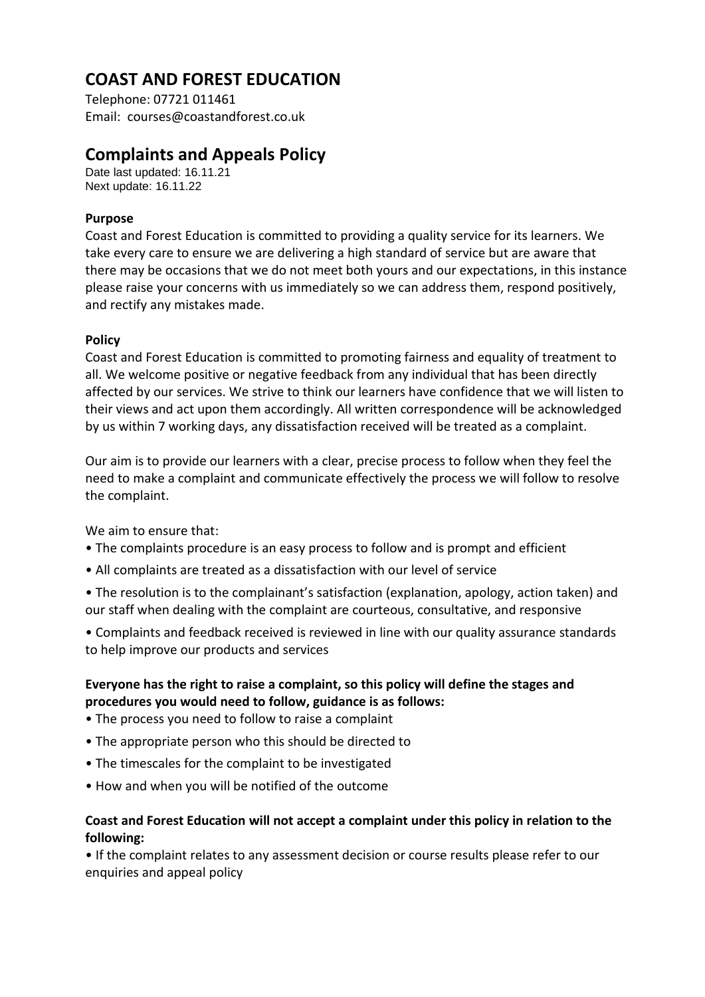# **COAST AND FOREST EDUCATION**

Telephone: 07721 011461 Email: courses@coastandforest.co.uk

## **Complaints and Appeals Policy**

Date last updated: 16.11.21 Next update: 16.11.22

## **Purpose**

Coast and Forest Education is committed to providing a quality service for its learners. We take every care to ensure we are delivering a high standard of service but are aware that there may be occasions that we do not meet both yours and our expectations, in this instance please raise your concerns with us immediately so we can address them, respond positively, and rectify any mistakes made.

#### **Policy**

Coast and Forest Education is committed to promoting fairness and equality of treatment to all. We welcome positive or negative feedback from any individual that has been directly affected by our services. We strive to think our learners have confidence that we will listen to their views and act upon them accordingly. All written correspondence will be acknowledged by us within 7 working days, any dissatisfaction received will be treated as a complaint.

Our aim is to provide our learners with a clear, precise process to follow when they feel the need to make a complaint and communicate effectively the process we will follow to resolve the complaint.

We aim to ensure that:

- The complaints procedure is an easy process to follow and is prompt and efficient
- All complaints are treated as a dissatisfaction with our level of service
- The resolution is to the complainant's satisfaction (explanation, apology, action taken) and our staff when dealing with the complaint are courteous, consultative, and responsive
- Complaints and feedback received is reviewed in line with our quality assurance standards to help improve our products and services

## **Everyone has the right to raise a complaint, so this policy will define the stages and procedures you would need to follow, guidance is as follows:**

- The process you need to follow to raise a complaint
- The appropriate person who this should be directed to
- The timescales for the complaint to be investigated
- How and when you will be notified of the outcome

## **Coast and Forest Education will not accept a complaint under this policy in relation to the following:**

• If the complaint relates to any assessment decision or course results please refer to our enquiries and appeal policy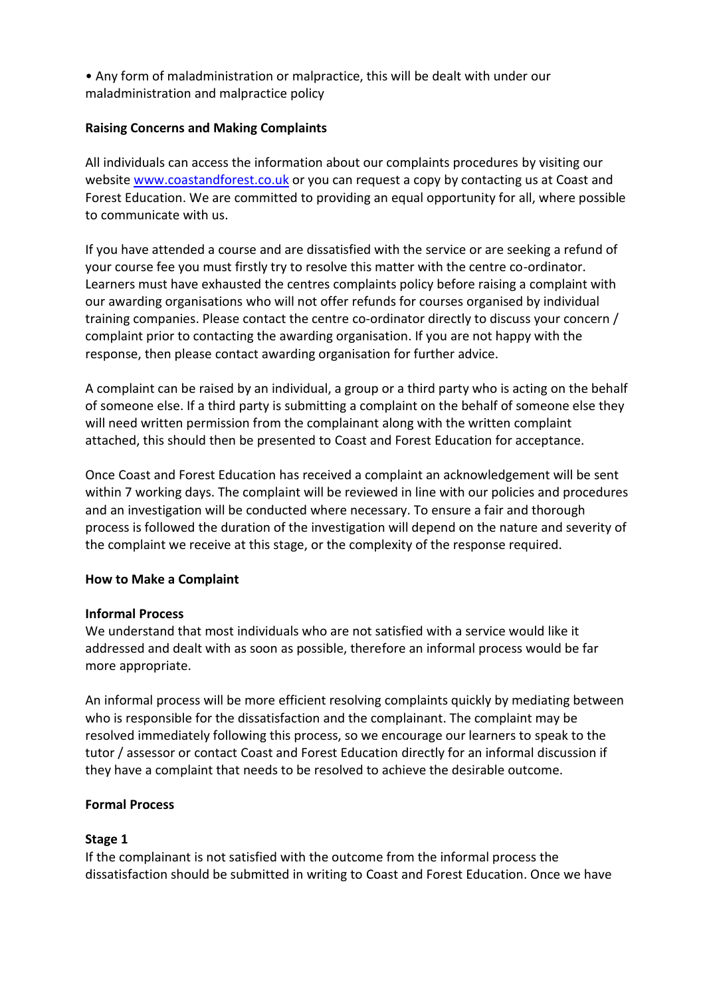• Any form of maladministration or malpractice, this will be dealt with under our maladministration and malpractice policy

#### **Raising Concerns and Making Complaints**

All individuals can access the information about our complaints procedures by visiting our website [www.coastandforest.co.uk](http://www.metabolous.co.uk/) or you can request a copy by contacting us at Coast and Forest Education. We are committed to providing an equal opportunity for all, where possible to communicate with us.

If you have attended a course and are dissatisfied with the service or are seeking a refund of your course fee you must firstly try to resolve this matter with the centre co-ordinator. Learners must have exhausted the centres complaints policy before raising a complaint with our awarding organisations who will not offer refunds for courses organised by individual training companies. Please contact the centre co-ordinator directly to discuss your concern / complaint prior to contacting the awarding organisation. If you are not happy with the response, then please contact awarding organisation for further advice.

A complaint can be raised by an individual, a group or a third party who is acting on the behalf of someone else. If a third party is submitting a complaint on the behalf of someone else they will need written permission from the complainant along with the written complaint attached, this should then be presented to Coast and Forest Education for acceptance.

Once Coast and Forest Education has received a complaint an acknowledgement will be sent within 7 working days. The complaint will be reviewed in line with our policies and procedures and an investigation will be conducted where necessary. To ensure a fair and thorough process is followed the duration of the investigation will depend on the nature and severity of the complaint we receive at this stage, or the complexity of the response required.

#### **How to Make a Complaint**

#### **Informal Process**

We understand that most individuals who are not satisfied with a service would like it addressed and dealt with as soon as possible, therefore an informal process would be far more appropriate.

An informal process will be more efficient resolving complaints quickly by mediating between who is responsible for the dissatisfaction and the complainant. The complaint may be resolved immediately following this process, so we encourage our learners to speak to the tutor / assessor or contact Coast and Forest Education directly for an informal discussion if they have a complaint that needs to be resolved to achieve the desirable outcome.

#### **Formal Process**

#### **Stage 1**

If the complainant is not satisfied with the outcome from the informal process the dissatisfaction should be submitted in writing to Coast and Forest Education. Once we have